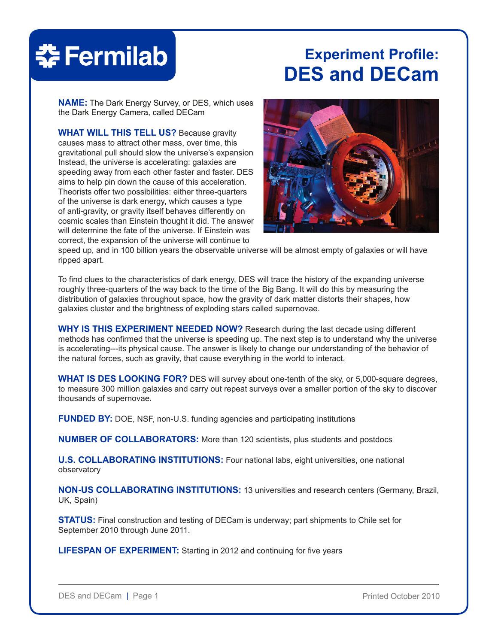# **춘 Fermilab**

# **Experiment Profile: DES and DECam**

**NAME:** The Dark Energy Survey, or DES, which uses the Dark Energy Camera, called DECam

**WHAT WILL THIS TELL US?** Because gravity causes mass to attract other mass, over time, this gravitational pull should slow the universe's expansion Instead, the universe is accelerating: galaxies are speeding away from each other faster and faster. DES aims to help pin down the cause of this acceleration. Theorists offer two possibilities: either three-quarters of the universe is dark energy, which causes a type of anti-gravity, or gravity itself behaves differently on cosmic scales than Einstein thought it did. The answer will determine the fate of the universe. If Einstein was correct, the expansion of the universe will continue to



speed up, and in 100 billion years the observable universe will be almost empty of galaxies or will have ripped apart.

To find clues to the characteristics of dark energy, DES will trace the history of the expanding universe roughly three-quarters of the way back to the time of the Big Bang. It will do this by measuring the distribution of galaxies throughout space, how the gravity of dark matter distorts their shapes, how galaxies cluster and the brightness of exploding stars called supernovae.

**WHY IS THIS EXPERIMENT NEEDED NOW?** Research during the last decade using different methods has confirmed that the universe is speeding up. The next step is to understand why the universe is accelerating---its physical cause. The answer is likely to change our understanding of the behavior of the natural forces, such as gravity, that cause everything in the world to interact.

**WHAT IS DES LOOKING FOR?** DES will survey about one-tenth of the sky, or 5,000-square degrees, to measure 300 million galaxies and carry out repeat surveys over a smaller portion of the sky to discover thousands of supernovae.

**FUNDED BY:** DOE, NSF, non-U.S. funding agencies and participating institutions

**NUMBER OF COLLABORATORS:** More than 120 scientists, plus students and postdocs

**U.S. COLLABORATING INSTITUTIONS:** Four national labs, eight universities, one national observatory

**NON-US COLLABORATING INSTITUTIONS:** 13 universities and research centers (Germany, Brazil, UK, Spain)

**STATUS:** Final construction and testing of DECam is underway; part shipments to Chile set for September 2010 through June 2011.

**LIFESPAN OF EXPERIMENT:** Starting in 2012 and continuing for five years